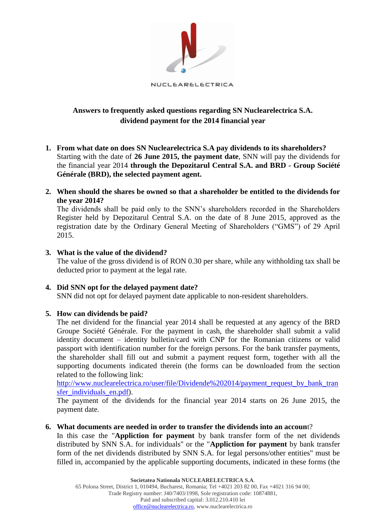

# **Answers to frequently asked questions regarding SN Nuclearelectrica S.A. dividend payment for the 2014 financial year**

- **1. From what date on does SN Nuclearelectrica S.A pay dividends to its shareholders?**  Starting with the date of **26 June 2015, the payment date**, SNN will pay the dividends for the financial year 2014 **through the Depozitarul Central S.A. and BRD - Group Société Générale (BRD), the selected payment agent.**
- **2. When should the shares be owned so that a shareholder be entitled to the dividends for the year 2014?**

The dividends shall be paid only to the SNN's shareholders recorded in the Shareholders Register held by Depozitarul Central S.A. on the date of 8 June 2015, approved as the registration date by the Ordinary General Meeting of Shareholders ("GMS") of 29 April 2015.

# **3. What is the value of the dividend?**

The value of the gross dividend is of RON 0.30 per share, while any withholding tax shall be deducted prior to payment at the legal rate.

## **4. Did SNN opt for the delayed payment date?**

SNN did not opt for delayed payment date applicable to non-resident shareholders.

## **5. How can dividends be paid?**

The net dividend for the financial year 2014 shall be requested at any agency of the BRD Groupe Société Générale. For the payment in cash, the shareholder shall submit a valid identity document – identity bulletin/card with CNP for the Romanian citizens or valid passport with identification number for the foreign persons. For the bank transfer payments, the shareholder shall fill out and submit a payment request form, together with all the supporting documents indicated therein (the forms can be downloaded from the section related to the following link:

[http://www.nuclearelectrica.ro/user/file/Dividende%202014/payment\\_request\\_by\\_bank\\_tran](http://www.nuclearelectrica.ro/user/file/Dividende%202014/payment_request_by_bank_transfer_individuals_en.pdf) sfer individuals en.pdf).

The payment of the dividends for the financial year 2014 starts on 26 June 2015, the payment date.

## **6. What documents are needed in order to transfer the dividends into an accoun**t?

In this case the "**Appliction for payment** by bank transfer form of the net dividends distributed by SNN S.A. for individuals" or the "**Appliction for payment** by bank transfer form of the net dividends distributed by SNN S.A. for legal persons/other entities" must be filled in, accompanied by the applicable supporting documents, indicated in these forms (the

**Societatea Nationala NUCLEARELECTRICA S.A**.

65 Polona Street, District 1, 010494, Bucharest, Romania; Tel +4021 203 82 00, Fax +4021 316 94 00; Trade Registry number: J40/7403/1998, Sole registration code: 10874881, Paid and subscribed capital: 3.012.210.410 lei [office@nuclearelectrica.ro,](mailto:office@nuclearelectrica.ro) www.nuclearelectrica.ro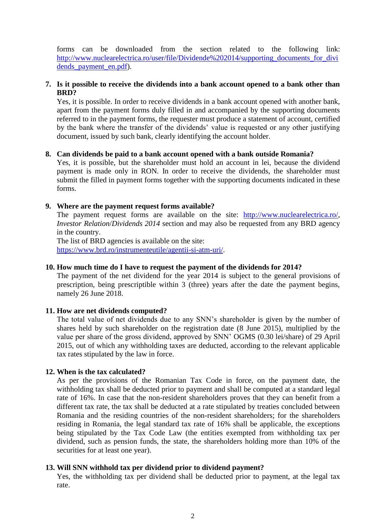forms can be downloaded from the section related to the following link: [http://www.nuclearelectrica.ro/user/file/Dividende%202014/supporting\\_documents\\_for\\_divi](http://www.nuclearelectrica.ro/user/file/Dividende%202014/supporting_documents_for_dividends_payment_en.pdf) dends payment\_en.pdf).

# **7. Is it possible to receive the dividends into a bank account opened to a bank other than BRD?**

Yes, it is possible. In order to receive dividends in a bank account opened with another bank, apart from the payment forms duly filled in and accompanied by the supporting documents referred to in the payment forms, the requester must produce a statement of account, certified by the bank where the transfer of the dividends' value is requested or any other justifying document, issued by such bank, clearly identifying the account holder.

# **8. Can dividends be paid to a bank account opened with a bank outside Romania?**

Yes, it is possible, but the shareholder must hold an account in lei, because the dividend payment is made only in RON. In order to receive the dividends, the shareholder must submit the filled in payment forms together with the supporting documents indicated in these forms.

# **9. Where are the payment request forms available?**

The payment request forms are available on the site: [http://www.nuclearelectrica.ro/,](http://www.nuclearelectrica.ro/) *Investor Relation*/*Dividends 2014* section and may also be requested from any BRD agency in the country.

The list of BRD agencies is available on the site: [https://www.brd.ro/instrumenteutile/agentii-si-atm-uri/.](https://www.brd.ro/instrumenteutile/agentii-si-atm-uri/)

## **10. How much time do I have to request the payment of the dividends for 2014?**

The payment of the net dividend for the year 2014 is subject to the general provisions of prescription, being prescriptible within 3 (three) years after the date the payment begins, namely 26 June 2018.

# **11. How are net dividends computed?**

The total value of net dividends due to any SNN's shareholder is given by the number of shares held by such shareholder on the registration date (8 June 2015), multiplied by the value per share of the gross dividend, approved by SNN' OGMS (0.30 lei/share) of 29 April 2015, out of which any withholding taxes are deducted, according to the relevant applicable tax rates stipulated by the law in force.

## **12. When is the tax calculated?**

As per the provisions of the Romanian Tax Code in force, on the payment date, the withholding tax shall be deducted prior to payment and shall be computed at a standard legal rate of 16%. In case that the non-resident shareholders proves that they can benefit from a different tax rate, the tax shall be deducted at a rate stipulated by treaties concluded between Romania and the residing countries of the non-resident shareholders; for the shareholders residing in Romania, the legal standard tax rate of 16% shall be applicable, the exceptions being stipulated by the Tax Code Law (the entities exempted from withholding tax per dividend, such as pension funds, the state, the shareholders holding more than 10% of the securities for at least one year).

## **13. Will SNN withhold tax per dividend prior to dividend payment?**

Yes, the withholding tax per dividend shall be deducted prior to payment, at the legal tax rate.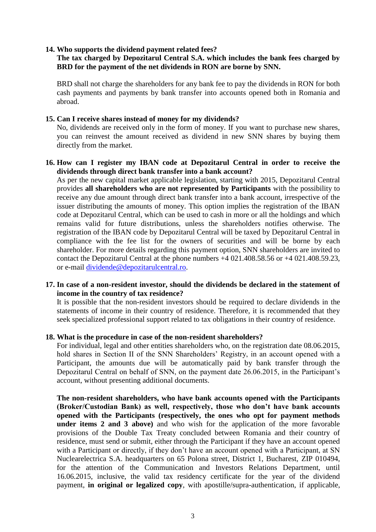#### **14. Who supports the dividend payment related fees?**

### **The tax charged by Depozitarul Central S.A. which includes the bank fees charged by BRD for the payment of the net dividends in RON are borne by SNN.**

BRD shall not charge the shareholders for any bank fee to pay the dividends in RON for both cash payments and payments by bank transfer into accounts opened both in Romania and abroad.

#### **15. Can I receive shares instead of money for my dividends?**

No, dividends are received only in the form of money. If you want to purchase new shares, you can reinvest the amount received as dividend in new SNN shares by buying them directly from the market.

## **16. How can I register my IBAN code at Depozitarul Central in order to receive the dividends through direct bank transfer into a bank account?**

As per the new capital market applicable legislation, starting with 2015, Depozitarul Central provides **all shareholders who are not represented by Participants** with the possibility to receive any due amount through direct bank transfer into a bank account, irrespective of the issuer distributing the amounts of money. This option implies the registration of the IBAN code at Depozitarul Central, which can be used to cash in more or all the holdings and which remains valid for future distributions, unless the shareholders notifies otherwise. The registration of the IBAN code by Depozitarul Central will be taxed by Depozitarul Central in compliance with the fee list for the owners of securities and will be borne by each shareholder. For more details regarding this payment option, SNN shareholders are invited to contact the Depozitarul Central at the phone numbers +4 021.408.58.56 or +4 021.408.59.23, or e-mail [dividende@depozitarulcentral.ro.](mailto:dividende@depozitarulcentral.ro)

## **17. In case of a non-resident investor, should the dividends be declared in the statement of income in the country of tax residence?**

It is possible that the non-resident investors should be required to declare dividends in the statements of income in their country of residence. Therefore, it is recommended that they seek specialized professional support related to tax obligations in their country of residence.

#### **18. What is the procedure in case of the non-resident shareholders?**

For individual, legal and other entities shareholders who, on the registration date 08.06.2015, hold shares in Section II of the SNN Shareholders' Registry, in an account opened with a Participant, the amounts due will be automatically paid by bank transfer through the Depozitarul Central on behalf of SNN, on the payment date 26.06.2015, in the Participant's account, without presenting additional documents.

**The non-resident shareholders, who have bank accounts opened with the Participants (Broker/Custodian Bank) as well, respectively, those who don't have bank accounts opened with the Participants (respectively, the ones who opt for payment methods under items 2 and 3 above)** and who wish for the application of the more favorable provisions of the Double Tax Treaty concluded between Romania and their country of residence, must send or submit, either through the Participant if they have an account opened with a Participant or directly, if they don't have an account opened with a Participant, at SN Nuclearelectrica S.A. headquarters on 65 Polona street, District 1, Bucharest, ZIP 010494, for the attention of the Communication and Investors Relations Department, until 16.06.2015, inclusive, the valid tax residency certificate for the year of the dividend payment, **in original or legalized copy**, with apostille/supra-authentication, if applicable,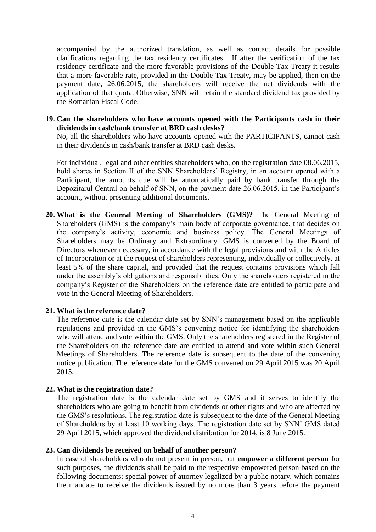accompanied by the authorized translation, as well as contact details for possible clarifications regarding the tax residency certificates. If after the verification of the tax residency certificate and the more favorable provisions of the Double Tax Treaty it results that a more favorable rate, provided in the Double Tax Treaty, may be applied, then on the payment date, 26.06.2015, the shareholders will receive the net dividends with the application of that quota. Otherwise, SNN will retain the standard dividend tax provided by the Romanian Fiscal Code.

**19. Can the shareholders who have accounts opened with the Participants cash in their dividends in cash/bank transfer at BRD cash desks?** 

No, all the shareholders who have accounts opened with the PARTICIPANTS, cannot cash in their dividends in cash/bank transfer at BRD cash desks.

For individual, legal and other entities shareholders who, on the registration date 08.06.2015, hold shares in Section II of the SNN Shareholders' Registry, in an account opened with a Participant, the amounts due will be automatically paid by bank transfer through the Depozitarul Central on behalf of SNN, on the payment date 26.06.2015, in the Participant's account, without presenting additional documents.

**20. What is the General Meeting of Shareholders (GMS)?** The General Meeting of Shareholders (GMS) is the company's main body of corporate governance, that decides on the company's activity, economic and business policy. The General Meetings of Shareholders may be Ordinary and Extraordinary. GMS is convened by the Board of Directors whenever necessary, in accordance with the legal provisions and with the Articles of Incorporation or at the request of shareholders representing, individually or collectively, at least 5% of the share capital, and provided that the request contains provisions which fall under the assembly's obligations and responsibilities. Only the shareholders registered in the company's Register of the Shareholders on the reference date are entitled to participate and vote in the General Meeting of Shareholders.

#### **21. What is the reference date?**

The reference date is the calendar date set by SNN's management based on the applicable regulations and provided in the GMS's convening notice for identifying the shareholders who will attend and vote within the GMS. Only the shareholders registered in the Register of the Shareholders on the reference date are entitled to attend and vote within such General Meetings of Shareholders. The reference date is subsequent to the date of the convening notice publication. The reference date for the GMS convened on 29 April 2015 was 20 April 2015.

#### **22. What is the registration date?**

The registration date is the calendar date set by GMS and it serves to identify the shareholders who are going to benefit from dividends or other rights and who are affected by the GMS's resolutions. The registration date is subsequent to the date of the General Meeting of Shareholders by at least 10 working days. The registration date set by SNN' GMS dated 29 April 2015, which approved the dividend distribution for 2014, is 8 June 2015.

#### **23. Can dividends be received on behalf of another person?**

In case of shareholders who do not present in person, but **empower a different person** for such purposes, the dividends shall be paid to the respective empowered person based on the following documents: special power of attorney legalized by a public notary, which contains the mandate to receive the dividends issued by no more than 3 years before the payment